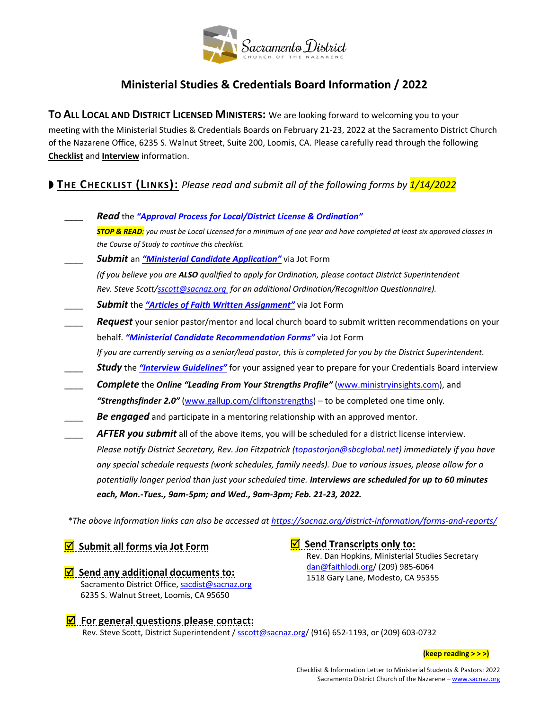

# **Ministerial Studies & Credentials Board Information / 2022**

**TO ALL LOCAL AND DISTRICT LICENSED MINISTERS:** We are looking forward to welcoming you to your meeting with the Ministerial Studies & Credentials Boards on February 21-23, 2022 at the Sacramento District Church of the Nazarene Office, 6235 S. Walnut Street, Suite 200, Loomis, CA. Please carefully read through the following **Checklist** and **Interview** information.

**THE CHECKLIST (LINKS):** *Please read and submit all of the following forms by 1/14/2022*

\_\_\_\_ *Read* the *["Approval Process for Local/District License & Ordination"](https://sacnaz.org/district-information/forms-and-reports/) STOP & READ: you must be Local Licensed for a minimum of one year and have completed at least six approved classes in the Course of Study to continue this checklist.* \_\_\_\_ *Submit* an *["Ministerial Candidate Application"](https://form.jotform.com/Peoples_Kaitlin/ministerial-candidate-application)* via Jot Form *(If you believe you are ALSO qualified to apply for Ordination, please contact District Superintendent Rev. Steve Scott[/sscott@sacnaz.org](mailto:sscott@sacnaz.org) for an additional Ordination/Recognition Questionnaire).* \_\_\_\_ *Submit* the *["Articles of Faith Written Assignment"](https://form.jotform.com/Peoples_Kaitlin/articles-of-faith-written-assign)* via Jot Form Request your senior pastor/mentor and local church board to submit written recommendations on your behalf. *["Ministerial Candidate Recommendation Forms"](https://form.jotform.com/Peoples_Kaitlin/min-candidate-recommendations)* via Jot Form *If you are currently serving as a senior/lead pastor, this is completed for you by the District Superintendent.* \_\_\_\_ *Study* the *["Interview Guidelines"](https://sacnaz.org/district-information/forms-and-reports/)* for your assigned year to prepare for your Credentials Board interview \_\_\_\_ *Complete* the *Online "Leading From Your Strengths Profile"* [\(www.ministryinsights.com\)](https://www.ministryinsights.com/), and *"Strengthsfinder 2.0"* [\(www.gallup.com/cliftonstrengths\)](https://www.gallup.com/cliftonstrengths/en/253676/how-cliftonstrengths-works.aspx) – to be completed one time only*.* Be engaged and participate in a mentoring relationship with an approved mentor. AFTER you submit all of the above items, you will be scheduled for a district license interview. *Please notify District Secretary, Rev. Jon Fitzpatrick (topastorjon@sbcglobal.net) immediately if you have any special schedule requests (work schedules, family needs). Due to various issues, please allow for a potentially longer period than just your scheduled time. Interviews are scheduled for up to 60 minutes* 

*\*The above information links can also be accessed a[t https://sacnaz.org/district-information/forms-and-reports/](https://sacnaz.org/district-information/forms-and-reports/)*

*M* Submit all forms via Jot Form

*M* Send any additional documents to: Sacramento District Office[, sacdist@sacnaz.org](mailto:sacdist@sacnaz.org) 6235 S. Walnut Street, Loomis, CA 95650

 **Send Transcripts only to:** Rev. Dan Hopkins, Ministerial Studies Secretary [dan@faithlodi.org/](mailto:dan@faithlodi.org) (209) 985-6064 1518 Gary Lane, Modesto, CA 95355

## $\overline{S}$  For general questions please contact: Rev. Steve Scott, District Superintendent / [sscott@sacnaz.org/](mailto:sscott@sacnaz.org) (916) 652-1193, or (209) 603-0732

*each, Mon.-Tues., 9am-5pm; and Wed., 9am-3pm; Feb. 21-23, 2022.*

**(keep reading > > >)**